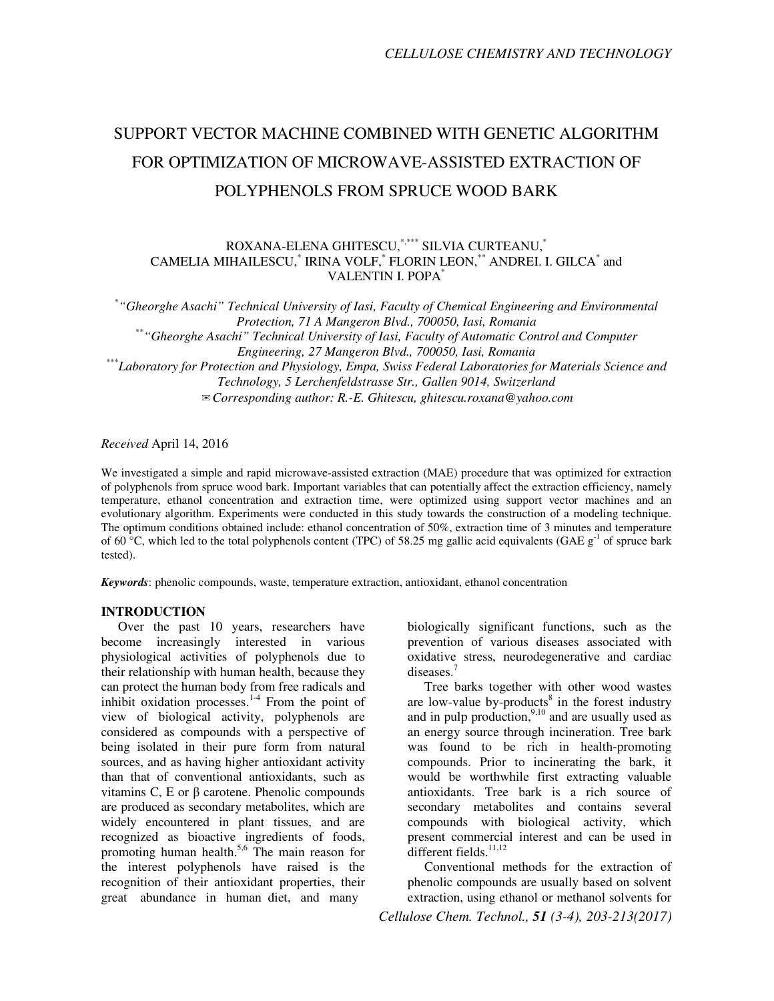# SUPPORT VECTOR MACHINE COMBINED WITH GENETIC ALGORITHM FOR OPTIMIZATION OF MICROWAVE-ASSISTED EXTRACTION OF POLYPHENOLS FROM SPRUCE WOOD BARK

# ROXANA-ELENA GHITESCU,\*,\*\*\* SILVIA CURTEANU,\* CAMELIA MIHAILESCU,<sup>\*</sup> IRINA VOLF,<sup>\*</sup> FLORIN LEON,<sup>\*\*</sup> ANDREI. I. GILCA<sup>\*</sup> and VALENTIN I. POPA\*

\* *"Gheorghe Asachi" Technical University of Iasi, Faculty of Chemical Engineering and Environmental Protection, 71 A Mangeron Blvd., 700050, Iasi, Romania*  \*\**"Gheorghe Asachi" Technical University of Iasi, Faculty of Automatic Control and Computer Engineering, 27 Mangeron Blvd., 700050, Iasi, Romania*  \*\*\**Laboratory for Protection and Physiology, Empa, Swiss Federal Laboratories for Materials Science and Technology, 5 Lerchenfeldstrasse Str., Gallen 9014, Switzerland*  ✉*Corresponding author: R.-E. Ghitescu, ghitescu.roxana@yahoo.com* 

*Received* April 14, 2016

We investigated a simple and rapid microwave-assisted extraction (MAE) procedure that was optimized for extraction of polyphenols from spruce wood bark. Important variables that can potentially affect the extraction efficiency, namely temperature, ethanol concentration and extraction time, were optimized using support vector machines and an evolutionary algorithm. Experiments were conducted in this study towards the construction of a modeling technique. The optimum conditions obtained include: ethanol concentration of 50%, extraction time of 3 minutes and temperature of 60 °C, which led to the total polyphenols content (TPC) of 58.25 mg gallic acid equivalents (GAE  $g^{-1}$  of spruce bark tested).

*Keywords*: phenolic compounds, waste, temperature extraction, antioxidant, ethanol concentration

# **INTRODUCTION**

Over the past 10 years, researchers have become increasingly interested in various physiological activities of polyphenols due to their relationship with human health, because they can protect the human body from free radicals and inhibit oxidation processes. $14$  From the point of view of biological activity, polyphenols are considered as compounds with a perspective of being isolated in their pure form from natural sources, and as having higher antioxidant activity than that of conventional antioxidants, such as vitamins C, E or β carotene. Phenolic compounds are produced as secondary metabolites, which are widely encountered in plant tissues, and are recognized as bioactive ingredients of foods, promoting human health.5,6 The main reason for the interest polyphenols have raised is the recognition of their antioxidant properties, their great abundance in human diet, and many

biologically significant functions, such as the prevention of various diseases associated with oxidative stress, neurodegenerative and cardiac diseases<sup>7</sup>

Tree barks together with other wood wastes are low-value by-products $8$  in the forest industry and in pulp production, $9,10$  and are usually used as an energy source through incineration. Tree bark was found to be rich in health-promoting compounds. Prior to incinerating the bark, it would be worthwhile first extracting valuable antioxidants. Tree bark is a rich source of secondary metabolites and contains several compounds with biological activity, which present commercial interest and can be used in different fields.<sup>11,12</sup>

Conventional methods for the extraction of phenolic compounds are usually based on solvent extraction, using ethanol or methanol solvents for

*Cellulose Chem. Technol., 51 (3-4), 203-213(2017)*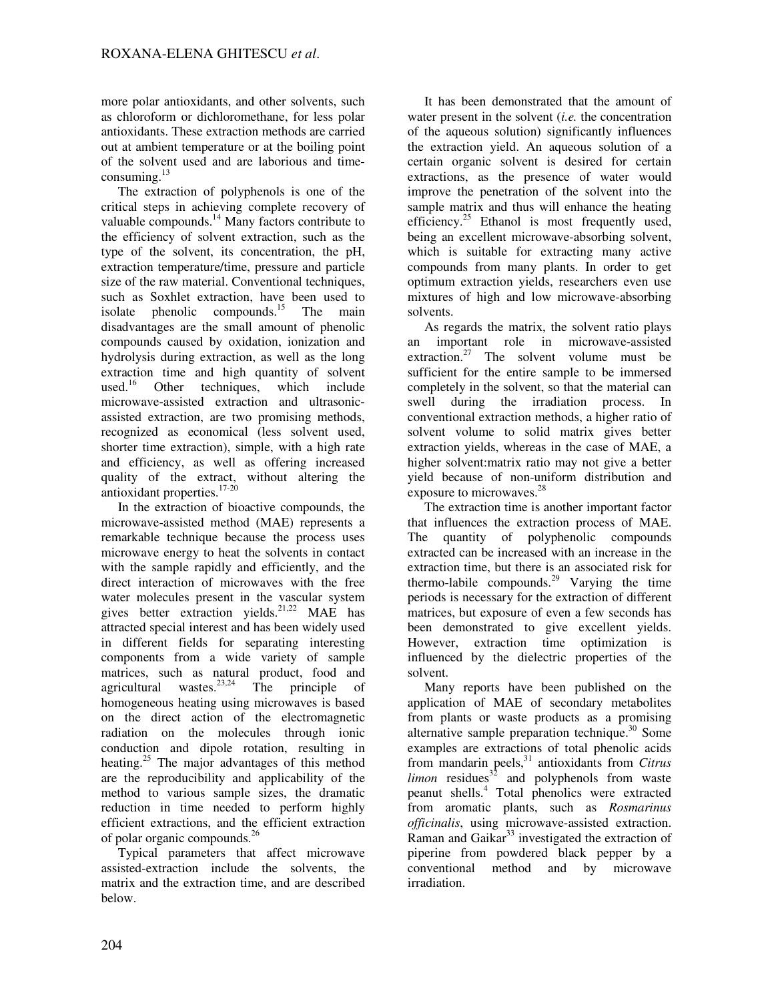more polar antioxidants, and other solvents, such as chloroform or dichloromethane, for less polar antioxidants. These extraction methods are carried out at ambient temperature or at the boiling point of the solvent used and are laborious and timeconsuming. $^{13}$ 

The extraction of polyphenols is one of the critical steps in achieving complete recovery of valuable compounds.<sup>14</sup> Many factors contribute to the efficiency of solvent extraction, such as the type of the solvent, its concentration, the pH, extraction temperature/time, pressure and particle size of the raw material. Conventional techniques, such as Soxhlet extraction, have been used to isolate phenolic compounds.<sup>15</sup> The main disadvantages are the small amount of phenolic compounds caused by oxidation, ionization and hydrolysis during extraction, as well as the long extraction time and high quantity of solvent used.<sup>16</sup> Other techniques, which include microwave-assisted extraction and ultrasonicassisted extraction, are two promising methods, recognized as economical (less solvent used, shorter time extraction), simple, with a high rate and efficiency, as well as offering increased quality of the extract, without altering the antioxidant properties. $17-20$ 

In the extraction of bioactive compounds, the microwave-assisted method (MAE) represents a remarkable technique because the process uses microwave energy to heat the solvents in contact with the sample rapidly and efficiently, and the direct interaction of microwaves with the free water molecules present in the vascular system gives better extraction yields.<sup>21,22</sup> MAE has attracted special interest and has been widely used in different fields for separating interesting components from a wide variety of sample matrices, such as natural product, food and agricultural wastes. $23,24$  The principle of homogeneous heating using microwaves is based on the direct action of the electromagnetic radiation on the molecules through ionic conduction and dipole rotation, resulting in heating.<sup>25</sup> The major advantages of this method are the reproducibility and applicability of the method to various sample sizes, the dramatic reduction in time needed to perform highly efficient extractions, and the efficient extraction of polar organic compounds.<sup>26</sup>

Typical parameters that affect microwave assisted-extraction include the solvents, the matrix and the extraction time, and are described below.

It has been demonstrated that the amount of water present in the solvent (*i.e.* the concentration of the aqueous solution) significantly influences the extraction yield. An aqueous solution of a certain organic solvent is desired for certain extractions, as the presence of water would improve the penetration of the solvent into the sample matrix and thus will enhance the heating efficiency.<sup>25</sup> Ethanol is most frequently used, being an excellent microwave-absorbing solvent, which is suitable for extracting many active compounds from many plants. In order to get optimum extraction yields, researchers even use mixtures of high and low microwave-absorbing solvents.

As regards the matrix, the solvent ratio plays an important role in microwave-assisted extraction.<sup>27</sup> The solvent volume must be sufficient for the entire sample to be immersed completely in the solvent, so that the material can swell during the irradiation process. In conventional extraction methods, a higher ratio of solvent volume to solid matrix gives better extraction yields, whereas in the case of MAE, a higher solvent:matrix ratio may not give a better yield because of non-uniform distribution and exposure to microwaves.<sup>28</sup>

The extraction time is another important factor that influences the extraction process of MAE. The quantity of polyphenolic compounds extracted can be increased with an increase in the extraction time, but there is an associated risk for thermo-labile compounds.<sup>29</sup> Varying the time periods is necessary for the extraction of different matrices, but exposure of even a few seconds has been demonstrated to give excellent yields. However, extraction time optimization is influenced by the dielectric properties of the solvent.

Many reports have been published on the application of MAE of secondary metabolites from plants or waste products as a promising alternative sample preparation technique. $30$  Some examples are extractions of total phenolic acids from mandarin peels,<sup>31</sup> antioxidants from *Citrus limon* residues<sup>32</sup> and polyphenols from waste peanut shells.<sup>4</sup> Total phenolics were extracted from aromatic plants, such as *Rosmarinus officinalis*, using microwave-assisted extraction. Raman and Gaikar $33$  investigated the extraction of piperine from powdered black pepper by a conventional method and by microwave irradiation.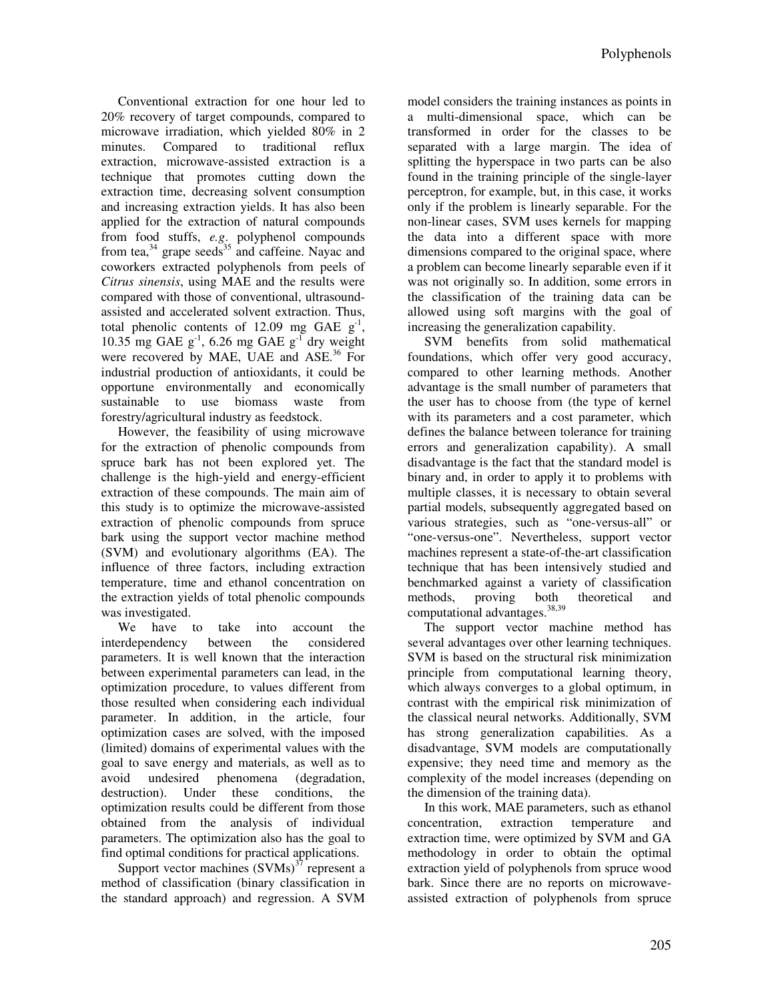Conventional extraction for one hour led to 20% recovery of target compounds, compared to microwave irradiation, which yielded 80% in 2 minutes. Compared to traditional reflux extraction, microwave-assisted extraction is a technique that promotes cutting down the extraction time, decreasing solvent consumption and increasing extraction yields. It has also been applied for the extraction of natural compounds from food stuffs, *e.g*. polyphenol compounds from tea, $34$  grape seeds<sup>35</sup> and caffeine. Nayac and coworkers extracted polyphenols from peels of *Citrus sinensis*, using MAE and the results were compared with those of conventional, ultrasoundassisted and accelerated solvent extraction. Thus, total phenolic contents of 12.09 mg GAE  $g^{-1}$ , 10.35 mg GAE  $g^{-1}$ , 6.26 mg GAE  $g^{-1}$  dry weight were recovered by MAE, UAE and ASE.<sup>36</sup> For industrial production of antioxidants, it could be opportune environmentally and economically sustainable to use biomass waste from forestry/agricultural industry as feedstock.

However, the feasibility of using microwave for the extraction of phenolic compounds from spruce bark has not been explored yet. The challenge is the high-yield and energy-efficient extraction of these compounds. The main aim of this study is to optimize the microwave-assisted extraction of phenolic compounds from spruce bark using the support vector machine method (SVM) and evolutionary algorithms (EA). The influence of three factors, including extraction temperature, time and ethanol concentration on the extraction yields of total phenolic compounds was investigated.

We have to take into account the interdependency between the considered parameters. It is well known that the interaction between experimental parameters can lead, in the optimization procedure, to values different from those resulted when considering each individual parameter. In addition, in the article, four optimization cases are solved, with the imposed (limited) domains of experimental values with the goal to save energy and materials, as well as to avoid undesired phenomena (degradation, avoid undesired phenomena (degradation, destruction). Under these conditions, the optimization results could be different from those obtained from the analysis of individual parameters. The optimization also has the goal to find optimal conditions for practical applications.

Support vector machines  $(SVMs)^{37}$  represent a method of classification (binary classification in the standard approach) and regression. A SVM model considers the training instances as points in a multi-dimensional space, which can be transformed in order for the classes to be separated with a large margin. The idea of splitting the hyperspace in two parts can be also found in the training principle of the single-layer perceptron, for example, but, in this case, it works only if the problem is linearly separable. For the non-linear cases, SVM uses kernels for mapping the data into a different space with more dimensions compared to the original space, where a problem can become linearly separable even if it was not originally so. In addition, some errors in the classification of the training data can be allowed using soft margins with the goal of increasing the generalization capability.

SVM benefits from solid mathematical foundations, which offer very good accuracy, compared to other learning methods. Another advantage is the small number of parameters that the user has to choose from (the type of kernel with its parameters and a cost parameter, which defines the balance between tolerance for training errors and generalization capability). A small disadvantage is the fact that the standard model is binary and, in order to apply it to problems with multiple classes, it is necessary to obtain several partial models, subsequently aggregated based on various strategies, such as "one-versus-all" or "one-versus-one". Nevertheless, support vector machines represent a state-of-the-art classification technique that has been intensively studied and benchmarked against a variety of classification methods, proving both theoretical and computational advantages.<sup>38,39</sup>

The support vector machine method has several advantages over other learning techniques. SVM is based on the structural risk minimization principle from computational learning theory, which always converges to a global optimum, in contrast with the empirical risk minimization of the classical neural networks. Additionally, SVM has strong generalization capabilities. As a disadvantage, SVM models are computationally expensive; they need time and memory as the complexity of the model increases (depending on the dimension of the training data).

In this work, MAE parameters, such as ethanol concentration, extraction temperature and extraction time, were optimized by SVM and GA methodology in order to obtain the optimal extraction yield of polyphenols from spruce wood bark. Since there are no reports on microwaveassisted extraction of polyphenols from spruce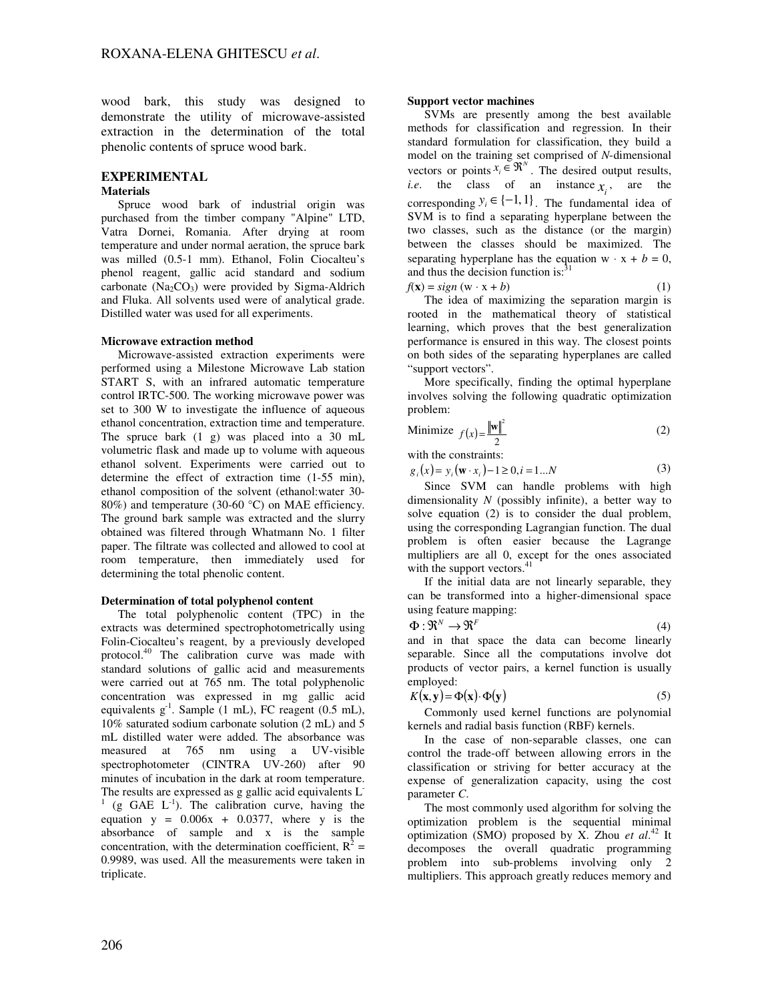wood bark, this study was designed to demonstrate the utility of microwave-assisted extraction in the determination of the total phenolic contents of spruce wood bark.

# **EXPERIMENTAL**

#### **Materials**

Spruce wood bark of industrial origin was purchased from the timber company "Alpine" LTD, Vatra Dornei, Romania. After drying at room temperature and under normal aeration, the spruce bark was milled (0.5-1 mm). Ethanol, Folin Ciocalteu's phenol reagent, gallic acid standard and sodium carbonate  $(Na<sub>2</sub>CO<sub>3</sub>)$  were provided by Sigma-Aldrich and Fluka. All solvents used were of analytical grade. Distilled water was used for all experiments.

#### **Microwave extraction method**

Microwave-assisted extraction experiments were performed using a Milestone Microwave Lab station START S, with an infrared automatic temperature control IRTC-500. The working microwave power was set to 300 W to investigate the influence of aqueous ethanol concentration, extraction time and temperature. The spruce bark (1 g) was placed into a 30 mL volumetric flask and made up to volume with aqueous ethanol solvent. Experiments were carried out to determine the effect of extraction time (1-55 min), ethanol composition of the solvent (ethanol:water 30- 80%) and temperature (30-60 °C) on MAE efficiency. The ground bark sample was extracted and the slurry obtained was filtered through Whatmann No. 1 filter paper. The filtrate was collected and allowed to cool at room temperature, then immediately used for determining the total phenolic content.

#### **Determination of total polyphenol content**

The total polyphenolic content (TPC) in the extracts was determined spectrophotometrically using Folin-Ciocalteu's reagent, by a previously developed protocol.<sup>40</sup> The calibration curve was made with standard solutions of gallic acid and measurements were carried out at 765 nm. The total polyphenolic concentration was expressed in mg gallic acid equivalents  $g^{-1}$ . Sample (1 mL), FC reagent (0.5 mL), 10% saturated sodium carbonate solution (2 mL) and 5 mL distilled water were added. The absorbance was measured at 765 nm using a UV-visible spectrophotometer (CINTRA UV-260) after 90 minutes of incubation in the dark at room temperature. The results are expressed as g gallic acid equivalents L<sup>-</sup>  $(1 \text{ (g } GAE \text{ L}^{-1})$ . The calibration curve, having the equation  $y = 0.006x + 0.0377$ , where y is the absorbance of sample and x is the sample concentration, with the determination coefficient,  $R^2 =$ 0.9989, was used. All the measurements were taken in triplicate.

### **Support vector machines**

SVMs are presently among the best available methods for classification and regression. In their standard formulation for classification, they build a model on the training set comprised of *N*-dimensional vectors or points  $x_i \in \mathbb{R}^N$ . The desired output results, *i.e.* the class of an instance  $x_i$ , are the corresponding  $y_i \in \{-1, 1\}$ . The fundamental idea of SVM is to find a separating hyperplane between the two classes, such as the distance (or the margin) between the classes should be maximized. The separating hyperplane has the equation w  $\cdot$  x + *b* = 0, and thus the decision function is: $31$  $f(\mathbf{x}) = sign(\mathbf{w} \cdot \mathbf{x} + b)$  (1)

The idea of maximizing the separation margin is rooted in the mathematical theory of statistical learning, which proves that the best generalization performance is ensured in this way. The closest points on both sides of the separating hyperplanes are called "support vectors".

More specifically, finding the optimal hyperplane involves solving the following quadratic optimization problem:

$$
\text{Minimize } f(x) = \frac{\|\mathbf{w}\|^2}{2} \tag{2}
$$

with the constraints:

 $g_i(x) = y_i(\mathbf{w} \cdot x_i) - 1 \ge 0, i = 1...N$  (3)

Since SVM can handle problems with high dimensionality *N* (possibly infinite), a better way to solve equation (2) is to consider the dual problem, using the corresponding Lagrangian function. The dual problem is often easier because the Lagrange multipliers are all 0, except for the ones associated with the support vectors.<sup>41</sup>

If the initial data are not linearly separable, they can be transformed into a higher-dimensional space using feature mapping:

$$
\Phi: \mathfrak{R}^N \to \mathfrak{R}^F \tag{4}
$$

and in that space the data can become linearly separable. Since all the computations involve dot products of vector pairs, a kernel function is usually employed:

$$
K(\mathbf{x}, \mathbf{y}) = \Phi(\mathbf{x}) \cdot \Phi(\mathbf{y})
$$
\n(5)

Commonly used kernel functions are polynomial kernels and radial basis function (RBF) kernels.

In the case of non-separable classes, one can control the trade-off between allowing errors in the classification or striving for better accuracy at the expense of generalization capacity, using the cost parameter *C*.

The most commonly used algorithm for solving the optimization problem is the sequential minimal optimization (SMO) proposed by X. Zhou *et al*. <sup>42</sup> It decomposes the overall quadratic programming problem into sub-problems involving only 2 multipliers. This approach greatly reduces memory and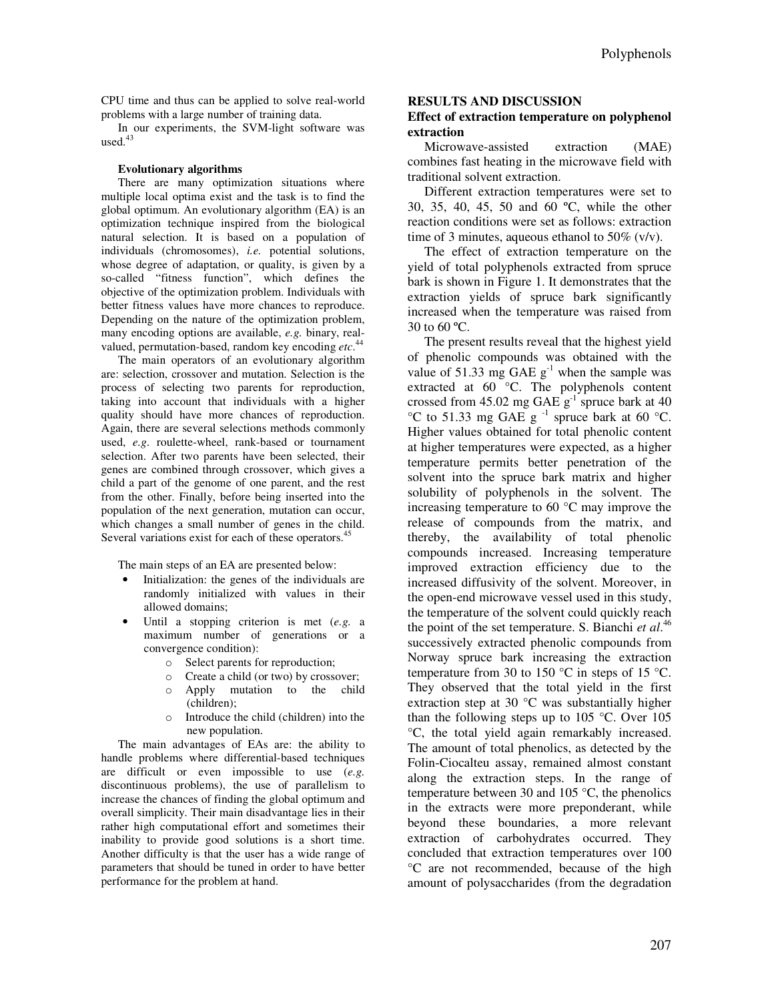CPU time and thus can be applied to solve real-world problems with a large number of training data.

In our experiments, the SVM-light software was used. $43$ 

#### **Evolutionary algorithms**

There are many optimization situations where multiple local optima exist and the task is to find the global optimum. An evolutionary algorithm (EA) is an optimization technique inspired from the biological natural selection. It is based on a population of individuals (chromosomes), *i.e.* potential solutions, whose degree of adaptation, or quality, is given by a so-called "fitness function", which defines the objective of the optimization problem. Individuals with better fitness values have more chances to reproduce. Depending on the nature of the optimization problem, many encoding options are available, *e.g.* binary, realvalued, permutation-based, random key encoding *etc*. 44

The main operators of an evolutionary algorithm are: selection, crossover and mutation. Selection is the process of selecting two parents for reproduction, taking into account that individuals with a higher quality should have more chances of reproduction. Again, there are several selections methods commonly used, *e.g*. roulette-wheel, rank-based or tournament selection. After two parents have been selected, their genes are combined through crossover, which gives a child a part of the genome of one parent, and the rest from the other. Finally, before being inserted into the population of the next generation, mutation can occur, which changes a small number of genes in the child. Several variations exist for each of these operators.<sup>45</sup>

The main steps of an EA are presented below:

- Initialization: the genes of the individuals are randomly initialized with values in their allowed domains;
- Until a stopping criterion is met (*e.g.* a maximum number of generations or a convergence condition):
	- o Select parents for reproduction;
	- o Create a child (or two) by crossover;
	- o Apply mutation to the child (children);
	- o Introduce the child (children) into the new population.

The main advantages of EAs are: the ability to handle problems where differential-based techniques are difficult or even impossible to use (*e.g.* discontinuous problems), the use of parallelism to increase the chances of finding the global optimum and overall simplicity. Their main disadvantage lies in their rather high computational effort and sometimes their inability to provide good solutions is a short time. Another difficulty is that the user has a wide range of parameters that should be tuned in order to have better performance for the problem at hand.

#### **RESULTS AND DISCUSSION**

## **Effect of extraction temperature on polyphenol extraction**

Microwave-assisted extraction (MAE) combines fast heating in the microwave field with traditional solvent extraction.

Different extraction temperatures were set to 30, 35, 40, 45, 50 and 60 ºC, while the other reaction conditions were set as follows: extraction time of 3 minutes, aqueous ethanol to  $50\%$  (v/v).

The effect of extraction temperature on the yield of total polyphenols extracted from spruce bark is shown in Figure 1. It demonstrates that the extraction yields of spruce bark significantly increased when the temperature was raised from 30 to 60 ºC.

The present results reveal that the highest yield of phenolic compounds was obtained with the value of 51.33 mg GAE  $g^{-1}$  when the sample was extracted at 60<sup>o</sup>C. The polyphenols content crossed from  $45.02$  mg GAE  $g^{-1}$  spruce bark at 40  $^{\circ}$ C to 51.33 mg GAE g<sup>-1</sup> spruce bark at 60  $^{\circ}$ C. Higher values obtained for total phenolic content at higher temperatures were expected, as a higher temperature permits better penetration of the solvent into the spruce bark matrix and higher solubility of polyphenols in the solvent. The increasing temperature to 60 °C may improve the release of compounds from the matrix, and thereby, the availability of total phenolic compounds increased. Increasing temperature improved extraction efficiency due to the increased diffusivity of the solvent. Moreover, in the open-end microwave vessel used in this study, the temperature of the solvent could quickly reach the point of the set temperature. S. Bianchi *et al*. 46 successively extracted phenolic compounds from Norway spruce bark increasing the extraction temperature from 30 to 150  $\degree$ C in steps of 15  $\degree$ C. They observed that the total yield in the first extraction step at 30 °C was substantially higher than the following steps up to 105  $^{\circ}$ C. Over 105 °C, the total yield again remarkably increased. The amount of total phenolics, as detected by the Folin-Ciocalteu assay, remained almost constant along the extraction steps. In the range of temperature between 30 and 105 °C, the phenolics in the extracts were more preponderant, while beyond these boundaries, a more relevant extraction of carbohydrates occurred. They concluded that extraction temperatures over 100 °C are not recommended, because of the high amount of polysaccharides (from the degradation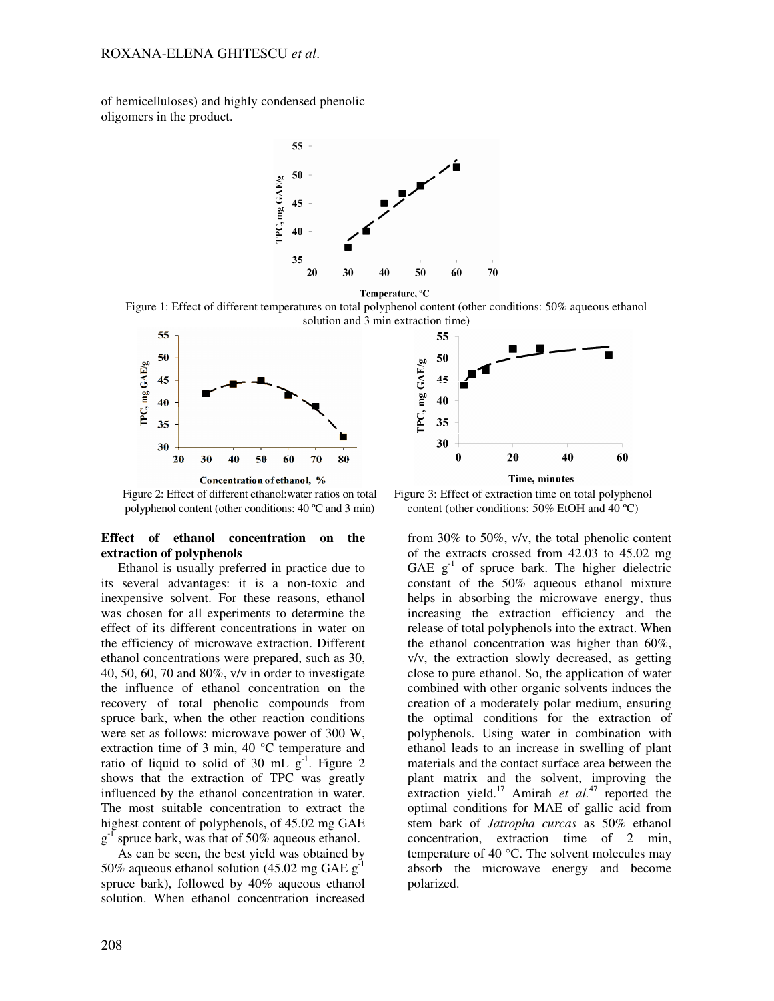of hemicelluloses) and highly condensed phenolic oligomers in the product.



Temperature, °C

Figure 1: Effect of different temperatures on total polyphenol content (other conditions: 50% aqueous ethanol solution and 3 min extraction time)



Figure 2: Effect of different ethanol:water ratios on total polyphenol content (other conditions: 40 ºC and 3 min)

## **Effect of ethanol concentration on the extraction of polyphenols**

Ethanol is usually preferred in practice due to its several advantages: it is a non-toxic and inexpensive solvent. For these reasons, ethanol was chosen for all experiments to determine the effect of its different concentrations in water on the efficiency of microwave extraction. Different ethanol concentrations were prepared, such as 30, 40, 50, 60, 70 and 80%, v/v in order to investigate the influence of ethanol concentration on the recovery of total phenolic compounds from spruce bark, when the other reaction conditions were set as follows: microwave power of 300 W, extraction time of 3 min, 40 °C temperature and ratio of liquid to solid of 30 mL  $g^{-1}$ . Figure 2 shows that the extraction of TPC was greatly influenced by the ethanol concentration in water. The most suitable concentration to extract the highest content of polyphenols, of 45.02 mg GAE  $g^{-1}$  spruce bark, was that of 50% aqueous ethanol.

As can be seen, the best yield was obtained by 50% aqueous ethanol solution (45.02 mg GAE g<sup>-1</sup> spruce bark), followed by 40% aqueous ethanol solution. When ethanol concentration increased



Figure 3: Effect of extraction time on total polyphenol content (other conditions: 50% EtOH and 40 ºC)

from 30% to 50%, v/v, the total phenolic content of the extracts crossed from 42.03 to 45.02 mg GAE  $g^{-1}$  of spruce bark. The higher dielectric constant of the 50% aqueous ethanol mixture helps in absorbing the microwave energy, thus increasing the extraction efficiency and the release of total polyphenols into the extract. When the ethanol concentration was higher than 60%, v/v, the extraction slowly decreased, as getting close to pure ethanol. So, the application of water combined with other organic solvents induces the creation of a moderately polar medium, ensuring the optimal conditions for the extraction of polyphenols. Using water in combination with ethanol leads to an increase in swelling of plant materials and the contact surface area between the plant matrix and the solvent, improving the extraction yield.<sup>17</sup> Amirah *et al.*<sup>47</sup> reported the optimal conditions for MAE of gallic acid from stem bark of *Jatropha curcas* as 50% ethanol concentration, extraction time of 2 min, temperature of 40 °C. The solvent molecules may absorb the microwave energy and become polarized.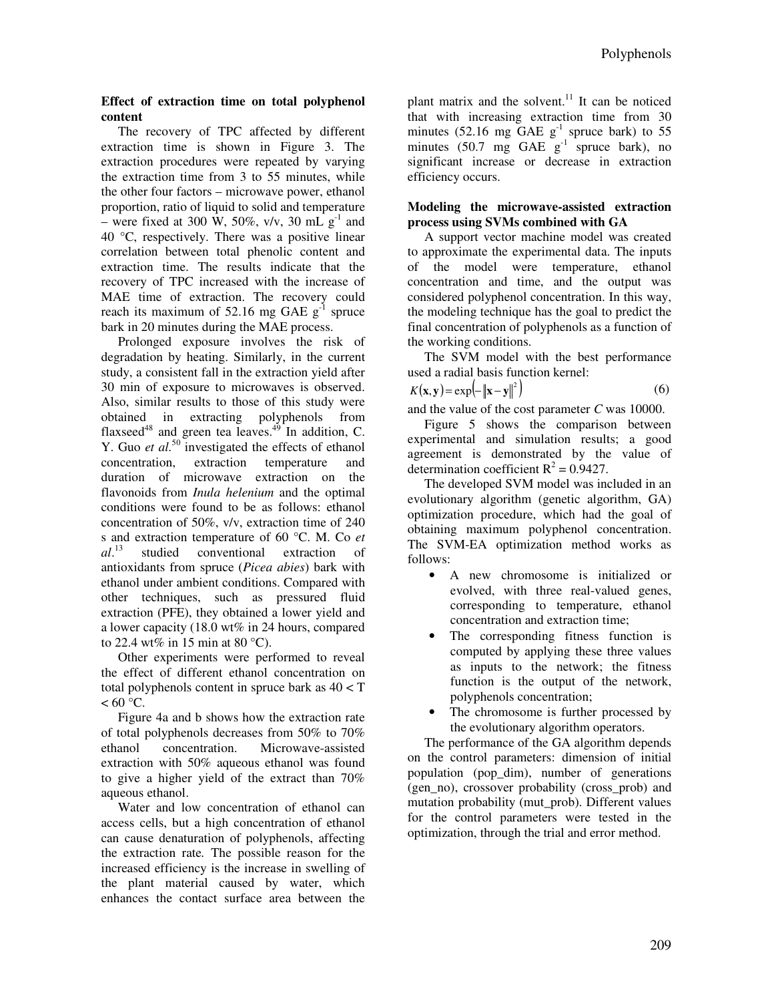## **Effect of extraction time on total polyphenol content**

The recovery of TPC affected by different extraction time is shown in Figure 3. The extraction procedures were repeated by varying the extraction time from 3 to 55 minutes, while the other four factors – microwave power, ethanol proportion, ratio of liquid to solid and temperature – were fixed at 300 W, 50%, v/v, 30 mL  $g^{-1}$  and 40 °C, respectively. There was a positive linear correlation between total phenolic content and extraction time. The results indicate that the recovery of TPC increased with the increase of MAE time of extraction. The recovery could reach its maximum of 52.16 mg GAE  $g^{-1}$  spruce bark in 20 minutes during the MAE process.

Prolonged exposure involves the risk of degradation by heating. Similarly, in the current study, a consistent fall in the extraction yield after 30 min of exposure to microwaves is observed. Also, similar results to those of this study were obtained in extracting polyphenols from flaxseed $^{48}$  and green tea leaves.<sup> $^{49}$ </sup> In addition, C. Y. Guo *et al.*<sup>50</sup> investigated the effects of ethanol concentration, extraction temperature and duration of microwave extraction on the flavonoids from *Inula helenium* and the optimal conditions were found to be as follows: ethanol concentration of 50%, v/v, extraction time of 240 s and extraction temperature of 60 °C. M. Co *et al*. studied conventional extraction of antioxidants from spruce (*Picea abies*) bark with ethanol under ambient conditions. Compared with other techniques, such as pressured fluid extraction (PFE), they obtained a lower yield and a lower capacity (18.0 wt% in 24 hours, compared to 22.4 wt% in 15 min at 80  $^{\circ}$ C).

Other experiments were performed to reveal the effect of different ethanol concentration on total polyphenols content in spruce bark as 40 < T  $< 60 °C$ .

Figure 4a and b shows how the extraction rate of total polyphenols decreases from 50% to 70% ethanol concentration. Microwave-assisted extraction with 50% aqueous ethanol was found to give a higher yield of the extract than 70% aqueous ethanol.

Water and low concentration of ethanol can access cells, but a high concentration of ethanol can cause denaturation of polyphenols, affecting the extraction rate*.* The possible reason for the increased efficiency is the increase in swelling of the plant material caused by water, which enhances the contact surface area between the

plant matrix and the solvent. $11$  It can be noticed that with increasing extraction time from 30 minutes (52.16 mg GAE  $g^{-1}$  spruce bark) to 55 minutes (50.7 mg GAE  $g^{-1}$  spruce bark), no significant increase or decrease in extraction efficiency occurs.

# **Modeling the microwave-assisted extraction process using SVMs combined with GA**

A support vector machine model was created to approximate the experimental data. The inputs the model were temperature, ethanol concentration and time, and the output was considered polyphenol concentration. In this way, the modeling technique has the goal to predict the final concentration of polyphenols as a function of the working conditions.

The SVM model with the best performance used a radial basis function kernel:

$$
K(\mathbf{x}, \mathbf{y}) = \exp\left(-\left\|\mathbf{x} - \mathbf{y}\right\|^2\right) \tag{6}
$$

and the value of the cost parameter *C* was 10000.

Figure 5 shows the comparison between experimental and simulation results; a good agreement is demonstrated by the value of determination coefficient  $R^2 = 0.9427$ .

The developed SVM model was included in an evolutionary algorithm (genetic algorithm, GA) optimization procedure, which had the goal of obtaining maximum polyphenol concentration. The SVM-EA optimization method works as follows:

- A new chromosome is initialized or evolved, with three real-valued genes, corresponding to temperature, ethanol concentration and extraction time;
- The corresponding fitness function is computed by applying these three values as inputs to the network; the fitness function is the output of the network, polyphenols concentration;
- The chromosome is further processed by the evolutionary algorithm operators.

The performance of the GA algorithm depends on the control parameters: dimension of initial population (pop\_dim), number of generations (gen\_no), crossover probability (cross\_prob) and mutation probability (mut\_prob). Different values for the control parameters were tested in the optimization, through the trial and error method.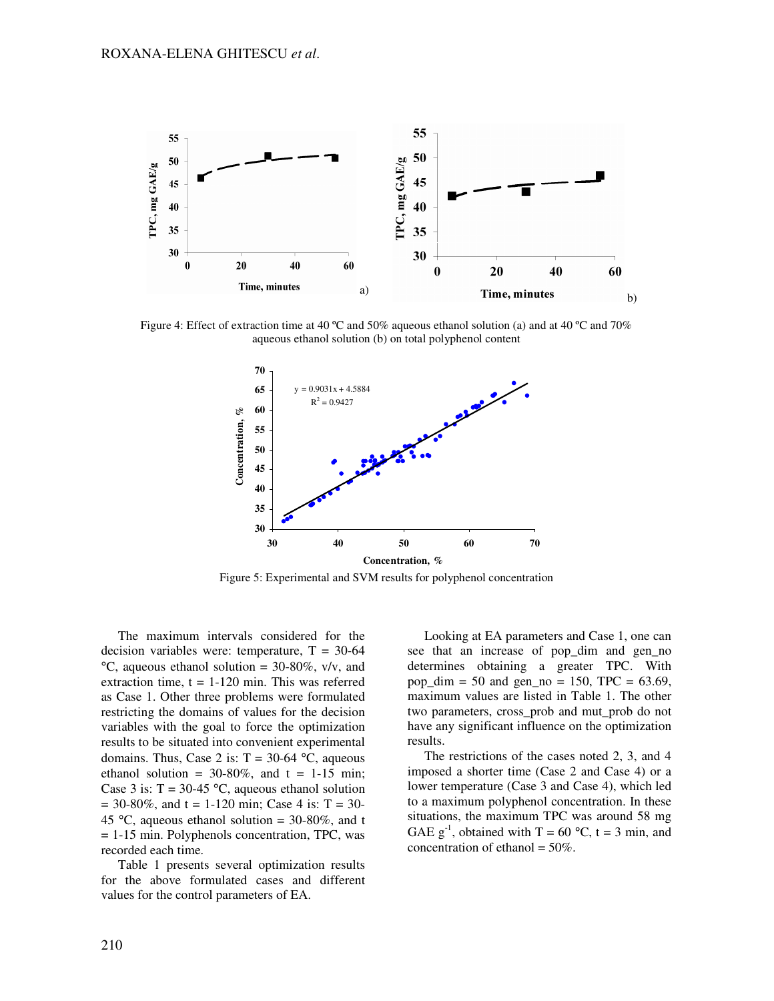

Figure 4: Effect of extraction time at 40 ºC and 50% aqueous ethanol solution (a) and at 40 ºC and 70% aqueous ethanol solution (b) on total polyphenol content



Figure 5: Experimental and SVM results for polyphenol concentration

The maximum intervals considered for the decision variables were: temperature,  $T = 30-64$  $°C$ , aqueous ethanol solution = 30-80%, v/v, and extraction time,  $t = 1-120$  min. This was referred as Case 1. Other three problems were formulated restricting the domains of values for the decision variables with the goal to force the optimization results to be situated into convenient experimental domains. Thus, Case 2 is:  $T = 30-64$  °C, aqueous ethanol solution =  $30-80\%$ , and t = 1-15 min; Case 3 is:  $T = 30-45$  °C, aqueous ethanol solution  $= 30-80\%$ , and t = 1-120 min; Case 4 is: T = 30-45 °C, aqueous ethanol solution =  $30\n-80\%$ , and t = 1-15 min. Polyphenols concentration, TPC, was recorded each time.

Table 1 presents several optimization results for the above formulated cases and different values for the control parameters of EA.

Looking at EA parameters and Case 1, one can see that an increase of pop\_dim and gen\_no determines obtaining a greater TPC. With pop\_dim = 50 and gen\_no = 150, TPC =  $63.69$ , maximum values are listed in Table 1. The other two parameters, cross\_prob and mut\_prob do not have any significant influence on the optimization results.

The restrictions of the cases noted 2, 3, and 4 imposed a shorter time (Case 2 and Case 4) or a lower temperature (Case 3 and Case 4), which led to a maximum polyphenol concentration. In these situations, the maximum TPC was around 58 mg GAE  $g^{-1}$ , obtained with T = 60 °C, t = 3 min, and concentration of ethanol =  $50\%$ .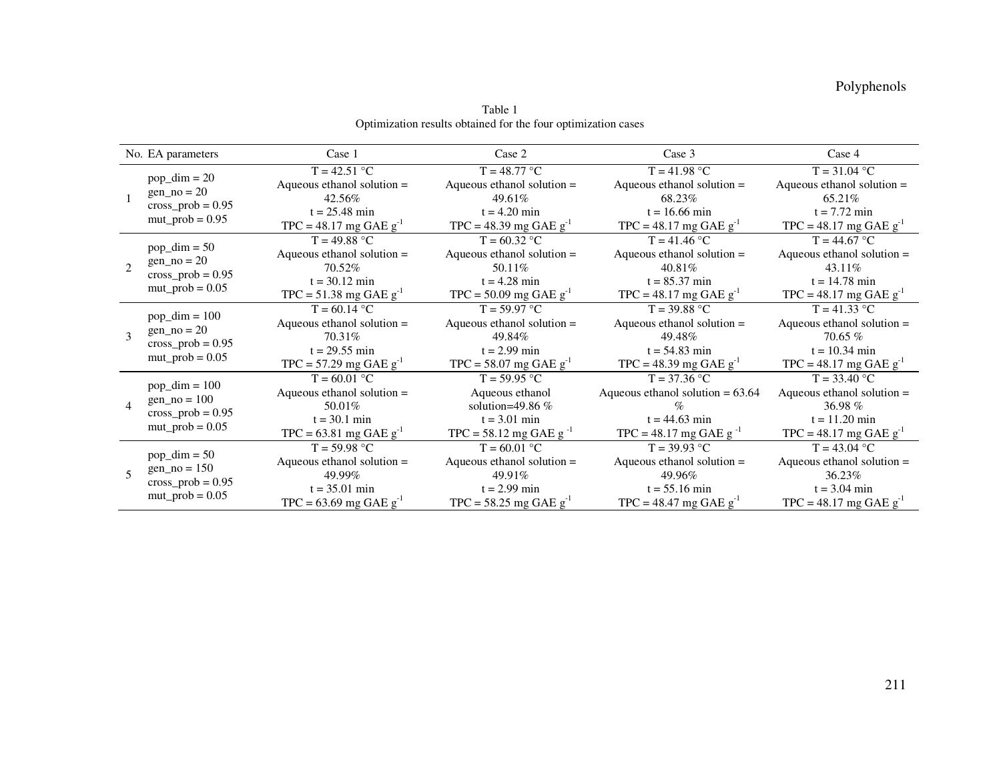|                          | No. EA parameters                                                                | Case 1                        | Case 2                               | Case 3                             | Case 4                        |
|--------------------------|----------------------------------------------------------------------------------|-------------------------------|--------------------------------------|------------------------------------|-------------------------------|
|                          | $pop\_dim = 20$<br>gen $no = 20$<br>$cross\_prob = 0.95$<br>$mut\_prob = 0.95$   | $T = 42.51 °C$                | $T = 48.77 °C$                       | $T = 41.98 °C$                     | $T = 31.04 °C$                |
|                          |                                                                                  | Aqueous ethanol solution $=$  | Aqueous ethanol solution $=$         | Aqueous ethanol solution $=$       | Aqueous ethanol solution $=$  |
|                          |                                                                                  | 42.56%                        | 49.61%                               | 68.23%                             | 65.21%                        |
|                          |                                                                                  | $t = 25.48 \text{ min}$       | $t = 4.20$ min                       | $t = 16.66$ min                    | $t = 7.72 \text{ min}$        |
|                          |                                                                                  | $TPC = 48.17$ mg GAE $g^{-1}$ | TPC = 48.39 mg GAE $g^{-1}$          | $TPC = 48.17$ mg GAE $g^{-1}$      | $TPC = 48.17$ mg GAE $g^{-1}$ |
| $\mathcal{D}$            | $pop\_dim = 50$<br>$gen-no = 20$<br>cross_prob = $0.95$<br>$mut\_prob = 0.05$    | $T = 49.88 °C$                | $T = 60.32 °C$                       | $T = 41.46 °C$                     | $T = 44.67 °C$                |
|                          |                                                                                  | Aqueous ethanol solution $=$  | Aqueous ethanol solution $=$         | Aqueous ethanol solution $=$       | Aqueous ethanol solution $=$  |
|                          |                                                                                  | 70.52%                        | 50.11%                               | 40.81%                             | 43.11\%                       |
|                          |                                                                                  | $t = 30.12 \text{ min}$       | $t = 4.28$ min                       | $t = 85.37 \text{ min}$            | $t = 14.78$ min               |
|                          |                                                                                  | TPC = $51.38$ mg GAE $g^{-1}$ | $TPC = 50.09$ mg GAE $g^{-1}$        | $TPC = 48.17$ mg GAE $g^{-1}$      | $TPC = 48.17$ mg GAE $g^{-1}$ |
| $\mathbf{3}$             | $pop\_dim = 100$<br>$gen-no = 20$<br>$cross\_prob = 0.95$<br>$mut\_prob = 0.05$  | $T = 60.14 °C$                | $T = 59.97 °C$                       | $T = 39.88 °C$                     | $T = 41.33 °C$                |
|                          |                                                                                  | Aqueous ethanol solution $=$  | Aqueous ethanol solution $=$         | Aqueous ethanol solution $=$       | Aqueous ethanol solution $=$  |
|                          |                                                                                  | 70.31%                        | 49.84%                               | 49.48%                             | $70.65\%$                     |
|                          |                                                                                  | $t = 29.55 \text{ min}$       | $t = 2.99$ min                       | $t = 54.83$ min                    | $t = 10.34 \text{ min}$       |
|                          |                                                                                  | $TPC = 57.29$ mg GAE $g^{-1}$ | $TPC = 58.07$ mg GAE g <sup>-1</sup> | $TPC = 48.39$ mg GAE $g^{-1}$      | $TPC = 48.17$ mg GAE $g^{-1}$ |
| $\overline{4}$           | $pop\_dim = 100$<br>$gen\_no = 100$<br>cross_prob = $0.95$<br>$mut\_prob = 0.05$ | $T = 60.01 °C$                | $T = 59.95 °C$                       | $T = 37.36 °C$                     | $T = 33.40 °C$                |
|                          |                                                                                  | Aqueous ethanol solution $=$  | Aqueous ethanol                      | Aqueous ethanol solution $= 63.64$ | Aqueous ethanol solution $=$  |
|                          |                                                                                  | $50.01\%$                     | solution=49.86 $%$                   |                                    | 36.98 $%$                     |
|                          |                                                                                  | $t = 30.1 \text{ min}$        | $t = 3.01$ min                       | $t = 44.63$ min                    | $t = 11.20$ min               |
|                          |                                                                                  | $TPC = 63.81$ mg GAE $g^{-1}$ | TPC = 58.12 mg GAE $g^{-1}$          | TPC = 48.17 mg GAE g <sup>-1</sup> | $TPC = 48.17$ mg GAE $g^{-1}$ |
| $\overline{\phantom{0}}$ | $pop\_dim = 50$<br>gen $no = 150$<br>$cross\_prob = 0.95$<br>$mut\_prob = 0.05$  | $T = 59.98 °C$                | $T = 60.01 °C$                       | $T = 39.93 °C$                     | $T = 43.04 °C$                |
|                          |                                                                                  | Aqueous ethanol solution =    | Aqueous ethanol solution $=$         | Aqueous ethanol solution $=$       | Aqueous ethanol solution =    |
|                          |                                                                                  | 49.99%                        | 49.91%                               | 49.96%                             | 36.23%                        |
|                          |                                                                                  | $t = 35.01 \text{ min}$       | $t = 2.99$ min                       | $t = 55.16$ min                    | $t = 3.04 \text{ min}$        |
|                          |                                                                                  | TPC = 63.69 mg GAE $g^{-1}$   | TPC = 58.25 mg GAE $g^{-1}$          | $TPC = 48.47$ mg GAE $g^{-1}$      | $TPC = 48.17$ mg GAE $g^{-1}$ |

Table 1 Optimization results obtained for the four optimization cases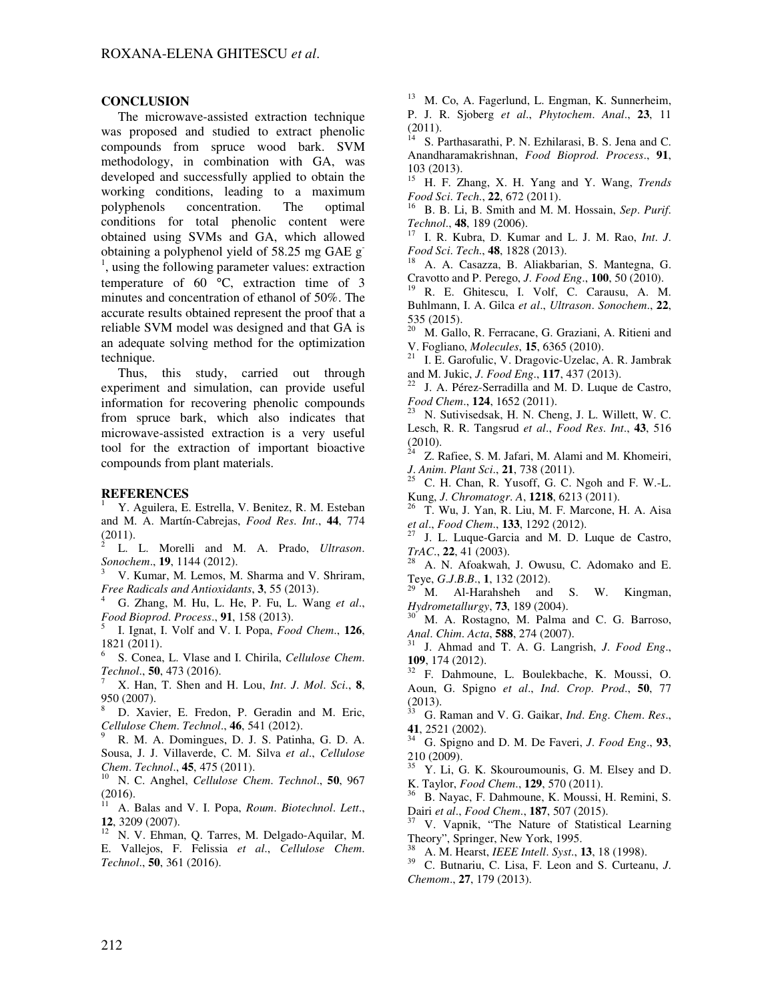## **CONCLUSION**

The microwave-assisted extraction technique was proposed and studied to extract phenolic compounds from spruce wood bark. SVM methodology, in combination with GA, was developed and successfully applied to obtain the working conditions, leading to a maximum polyphenols concentration. The optimal conditions for total phenolic content were obtained using SVMs and GA, which allowed obtaining a polyphenol yield of 58.25 mg GAE g-<sup>1</sup>, using the following parameter values: extraction temperature of 60 °C, extraction time of 3 minutes and concentration of ethanol of 50%. The accurate results obtained represent the proof that a reliable SVM model was designed and that GA is an adequate solving method for the optimization technique.

Thus, this study, carried out through experiment and simulation, can provide useful information for recovering phenolic compounds from spruce bark, which also indicates that microwave-assisted extraction is a very useful tool for the extraction of important bioactive compounds from plant materials.

## **REFERENCES**

<sup>1</sup> Y. Aguilera, E. Estrella, V. Benitez, R. M. Esteban and M. A. Martín-Cabrejas, *Food Res*. *Int*., **44**, 774 (2011).

2 L. L. Morelli and M. A. Prado, *Ultrason*. *Sonochem*., **19**, 1144 (2012).

<sup>3</sup> V. Kumar, M. Lemos, M. Sharma and V. Shriram, *Free Radicals and Antioxidants*, **3**, 55 (2013).

<sup>4</sup> G. Zhang, M. Hu, L. He, P. Fu, L. Wang *et al*., *Food Bioprod*. *Process*., **91**, 158 (2013).

5 I. Ignat, I. Volf and V. I. Popa, *Food Chem*., **126**, 1821 (2011).

6 S. Conea, L. Vlase and I. Chirila, *Cellulose Chem*. *Technol*., **50**, 473 (2016).

<sup>7</sup> X. Han, T. Shen and H. Lou, *Int*. *J*. *Mol*. *Sci*., **8**, 950 (2007).

<sup>8</sup> D. Xavier, E. Fredon, P. Geradin and M. Eric, *Cellulose Chem*. *Technol*., **46**, 541 (2012).

<sup>9</sup> R. M. A. Domingues, D. J. S. Patinha, G. D. A. Sousa, J. J. Villaverde, C. M. Silva *et al*., *Cellulose Chem*. *Technol*., **45**, 475 (2011).

<sup>10</sup> N. C. Anghel, *Cellulose Chem*. *Technol*., **50**, 967 (2016).

<sup>11</sup> A. Balas and V. I. Popa, *Roum*. *Biotechnol*. *Lett*., **12**, 3209 (2007).

<sup>12</sup> N. V. Ehman, Q. Tarres, M. Delgado-Aquilar, M. E. Vallejos, F. Felissia *et al*., *Cellulose Chem*. *Technol*., **50**, 361 (2016).

<sup>13</sup> M. Co, A. Fagerlund, L. Engman, K. Sunnerheim, P. J. R. Sjoberg *et al*., *Phytochem*. *Anal*., **23**, 11  $(2011).$ 

<sup>14</sup> S. Parthasarathi, P. N. Ezhilarasi, B. S. Jena and C. Anandharamakrishnan, *Food Bioprod*. *Process*., **91**,  $103$  (2013).

<sup>15</sup> H. F. Zhang, X. H. Yang and Y. Wang, *Trends Food Sci*. *Tech*., **22**, 672 (2011).

<sup>16</sup> B. B. Li, B. Smith and M. M. Hossain, *Sep*. *Purif*. *Technol*., **48**, 189 (2006).

<sup>17</sup> I. R. Kubra, D. Kumar and L. J. M. Rao, *Int*. *J*. *Food Sci*. *Tech*., **48**, 1828 (2013).

<sup>18</sup> A. A. Casazza, B. Aliakbarian, S. Mantegna, G. Cravotto and P. Perego, *J*. *Food Eng*., **100**, 50 (2010).

<sup>19</sup> R. E. Ghitescu, I. Volf, C. Carausu, A. M. Buhlmann, I. A. Gilca *et al*., *Ultrason*. *Sonochem*., **22**, 535 (2015).

<sup>20</sup> M. Gallo, R. Ferracane, G. Graziani, A. Ritieni and V. Fogliano, *Molecules*, **15**, 6365 (2010).

<sup>21</sup> I. E. Garofulic, V. Dragovic-Uzelac, A. R. Jambrak and M. Jukic, *J*. *Food Eng*., **117**, 437 (2013).

J. A. Pérez-Serradilla and M. D. Luque de Castro, *Food Chem*., **124**, 1652 (2011).

<sup>23</sup> N. Sutivisedsak, H. N. Cheng, J. L. Willett, W. C. Lesch, R. R. Tangsrud *et al*., *Food Res*. *Int*., **43**, 516 (2010).

Z. Rafiee, S. M. Jafari, M. Alami and M. Khomeiri, *J*. *Anim*. *Plant Sci*., **21**, 738 (2011).

C. H. Chan, R. Yusoff, G. C. Ngoh and F. W.-L. Kung, *J*. *Chromatogr*. *A*, **1218**, 6213 (2011).

<sup>26</sup> T. Wu, J. Yan, R. Liu, M. F. Marcone, H. A. Aisa *et al*., *Food Chem*., **133**, 1292 (2012).

J. L. Luque-Garcia and M. D. Luque de Castro, *TrAC*., **22**, 41 (2003).

A. N. Afoakwah, J. Owusu, C. Adomako and E. Teye, *G*.*J*.*B*.*B*., **1**, 132 (2012).

M. Al-Harahsheh and S. W. Kingman, *Hydrometallurgy*, **73**, 189 (2004).

M. A. Rostagno, M. Palma and C. G. Barroso, *Anal*. *Chim*. *Acta*, **588**, 274 (2007).

<sup>31</sup> J. Ahmad and T. A. G. Langrish, *J*. *Food Eng*., **109**, 174 (2012).

<sup>32</sup> F. Dahmoune, L. Boulekbache, K. Moussi, O. Aoun, G. Spigno *et al*., *Ind*. *Crop*. *Prod*., **50**, 77  $\frac{(2013)}{33}$ .

<sup>33</sup> G. Raman and V. G. Gaikar, *Ind*. *Eng*. *Chem*. *Res*., **41**, 2521 (2002).

<sup>34</sup> G. Spigno and D. M. De Faveri, *J*. *Food Eng*., **93**,  $210(2009)$ .

<sup>35</sup> Y. Li, G. K. Skouroumounis, G. M. Elsey and D. K. Taylor, *Food Chem*., **129**, 570 (2011).

<sup>36</sup> B. Nayac, F. Dahmoune, K. Moussi, H. Remini, S. Dairi *et al*., *Food Chem*., **187**, 507 (2015).

<sup>37</sup> V. Vapnik, "The Nature of Statistical Learning Theory", Springer, New York, 1995.

<sup>38</sup> A. M. Hearst, *IEEE Intell*. *Syst*., **13**, 18 (1998).

<sup>39</sup> C. Butnariu, C. Lisa, F. Leon and S. Curteanu, *J*. *Chemom*., **27**, 179 (2013).